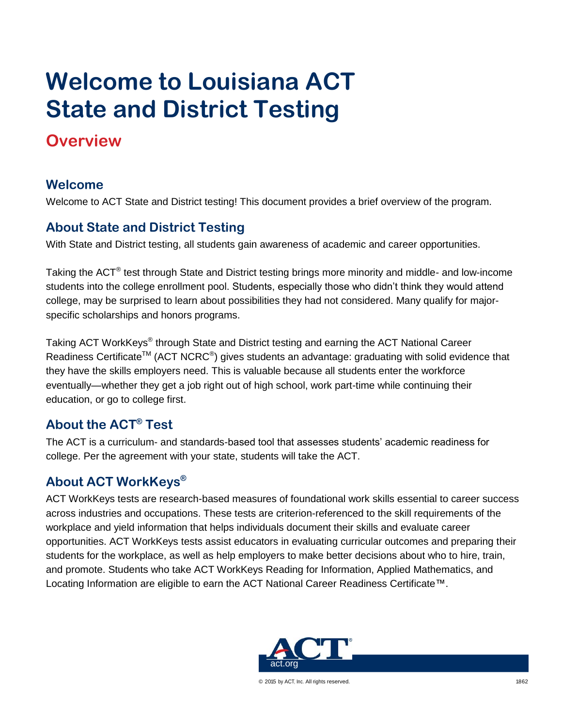# **Welcome to Louisiana ACT State and District Testing**

## **Overview**

#### **Welcome**

Welcome to ACT State and District testing! This document provides a brief overview of the program.

#### **About State and District Testing**

With State and District testing, all students gain awareness of academic and career opportunities.

Taking the ACT<sup>®</sup> test through State and District testing brings more minority and middle- and low-income students into the college enrollment pool. Students, especially those who didn't think they would attend college, may be surprised to learn about possibilities they had not considered. Many qualify for majorspecific scholarships and honors programs.

Taking ACT WorkKeys® through State and District testing and earning the ACT National Career Readiness Certificate<sup>TM</sup> (ACT NCRC<sup>®</sup>) gives students an advantage: graduating with solid evidence that they have the skills employers need. This is valuable because all students enter the workforce eventually—whether they get a job right out of high school, work part-time while continuing their education, or go to college first.

### **About the ACT® Test**

The ACT is a curriculum- and standards-based tool that assesses students' academic readiness for college. Per the agreement with your state, students will take the ACT.

### **About ACT WorkKeys®**

ACT WorkKeys tests are research-based measures of foundational work skills essential to career success across industries and occupations. These tests are criterion-referenced to the skill requirements of the workplace and yield information that helps individuals document their skills and evaluate career opportunities. ACT WorkKeys tests assist educators in evaluating curricular outcomes and preparing their students for the workplace, as well as help employers to make better decisions about who to hire, train, and promote. Students who take ACT WorkKeys Reading for Information, Applied Mathematics, and Locating Information are eligible to earn the ACT National Career Readiness Certificate™.



© 2015 by ACT, Inc. All rights reserved. 1862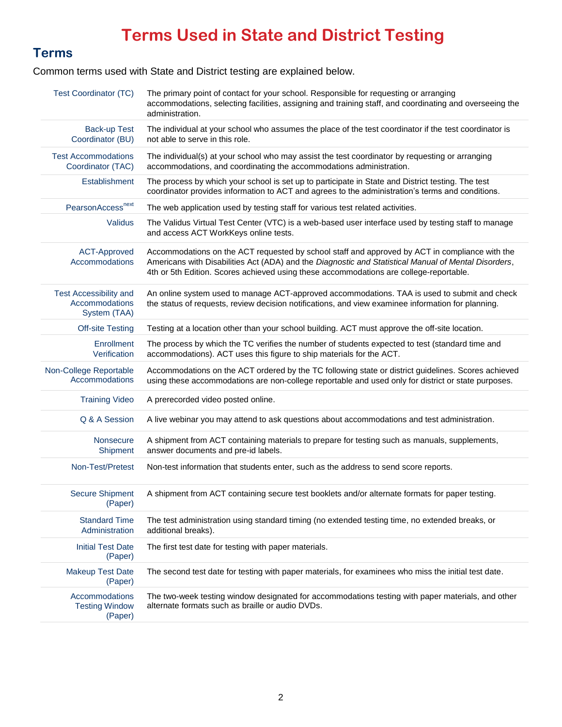# **Terms Used in State and District Testing**

#### **Terms**

Common terms used with State and District testing are explained below.

| <b>Test Coordinator (TC)</b>                                    | The primary point of contact for your school. Responsible for requesting or arranging<br>accommodations, selecting facilities, assigning and training staff, and coordinating and overseeing the<br>administration.                                                                              |  |  |
|-----------------------------------------------------------------|--------------------------------------------------------------------------------------------------------------------------------------------------------------------------------------------------------------------------------------------------------------------------------------------------|--|--|
| <b>Back-up Test</b><br>Coordinator (BU)                         | The individual at your school who assumes the place of the test coordinator if the test coordinator is<br>not able to serve in this role.                                                                                                                                                        |  |  |
| <b>Test Accommodations</b><br>Coordinator (TAC)                 | The individual(s) at your school who may assist the test coordinator by requesting or arranging<br>accommodations, and coordinating the accommodations administration.                                                                                                                           |  |  |
| Establishment                                                   | The process by which your school is set up to participate in State and District testing. The test<br>coordinator provides information to ACT and agrees to the administration's terms and conditions.                                                                                            |  |  |
| PearsonAccess <sup>next</sup>                                   | The web application used by testing staff for various test related activities.                                                                                                                                                                                                                   |  |  |
| Validus                                                         | The Validus Virtual Test Center (VTC) is a web-based user interface used by testing staff to manage<br>and access ACT WorkKeys online tests.                                                                                                                                                     |  |  |
| <b>ACT-Approved</b><br>Accommodations                           | Accommodations on the ACT requested by school staff and approved by ACT in compliance with the<br>Americans with Disabilities Act (ADA) and the Diagnostic and Statistical Manual of Mental Disorders,<br>4th or 5th Edition. Scores achieved using these accommodations are college-reportable. |  |  |
| <b>Test Accessibility and</b><br>Accommodations<br>System (TAA) | An online system used to manage ACT-approved accommodations. TAA is used to submit and check<br>the status of requests, review decision notifications, and view examinee information for planning.                                                                                               |  |  |
| <b>Off-site Testing</b>                                         | Testing at a location other than your school building. ACT must approve the off-site location.                                                                                                                                                                                                   |  |  |
| Enrollment<br>Verification                                      | The process by which the TC verifies the number of students expected to test (standard time and<br>accommodations). ACT uses this figure to ship materials for the ACT.                                                                                                                          |  |  |
| Non-College Reportable<br>Accommodations                        | Accommodations on the ACT ordered by the TC following state or district guidelines. Scores achieved<br>using these accommodations are non-college reportable and used only for district or state purposes.                                                                                       |  |  |
| <b>Training Video</b>                                           | A prerecorded video posted online.                                                                                                                                                                                                                                                               |  |  |
| Q & A Session                                                   | A live webinar you may attend to ask questions about accommodations and test administration.                                                                                                                                                                                                     |  |  |
| Nonsecure<br>Shipment                                           | A shipment from ACT containing materials to prepare for testing such as manuals, supplements,<br>answer documents and pre-id labels.                                                                                                                                                             |  |  |
| Non-Test/Pretest                                                | Non-test information that students enter, such as the address to send score reports.                                                                                                                                                                                                             |  |  |
| <b>Secure Shipment</b><br>(Paper)                               | A shipment from ACT containing secure test booklets and/or alternate formats for paper testing.                                                                                                                                                                                                  |  |  |
| <b>Standard Time</b><br>Administration                          | The test administration using standard timing (no extended testing time, no extended breaks, or<br>additional breaks).                                                                                                                                                                           |  |  |
| <b>Initial Test Date</b><br>(Paper)                             | The first test date for testing with paper materials.                                                                                                                                                                                                                                            |  |  |
| <b>Makeup Test Date</b><br>(Paper)                              | The second test date for testing with paper materials, for examinees who miss the initial test date.                                                                                                                                                                                             |  |  |
| Accommodations<br><b>Testing Window</b><br>(Paper)              | The two-week testing window designated for accommodations testing with paper materials, and other<br>alternate formats such as braille or audio DVDs.                                                                                                                                            |  |  |